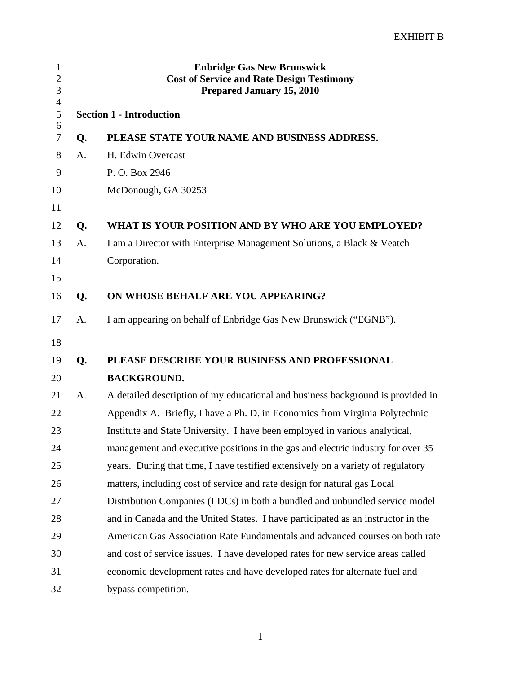| $\mathbf{1}$<br>$\overline{c}$<br>3 |                                 | <b>Enbridge Gas New Brunswick</b><br><b>Cost of Service and Rate Design Testimony</b><br><b>Prepared January 15, 2010</b> |  |
|-------------------------------------|---------------------------------|---------------------------------------------------------------------------------------------------------------------------|--|
| $\overline{4}$<br>5                 | <b>Section 1 - Introduction</b> |                                                                                                                           |  |
| 6<br>7                              | Q.                              | PLEASE STATE YOUR NAME AND BUSINESS ADDRESS.                                                                              |  |
| 8                                   | A.                              | H. Edwin Overcast                                                                                                         |  |
| 9                                   |                                 | P. O. Box 2946                                                                                                            |  |
| 10                                  |                                 | McDonough, GA 30253                                                                                                       |  |
| 11                                  |                                 |                                                                                                                           |  |
| 12                                  | Q.                              | WHAT IS YOUR POSITION AND BY WHO ARE YOU EMPLOYED?                                                                        |  |
| 13                                  | A.                              | I am a Director with Enterprise Management Solutions, a Black & Veatch                                                    |  |
| 14                                  |                                 | Corporation.                                                                                                              |  |
| 15                                  |                                 |                                                                                                                           |  |
| 16                                  | Q.                              | ON WHOSE BEHALF ARE YOU APPEARING?                                                                                        |  |
| 17                                  | A.                              | I am appearing on behalf of Enbridge Gas New Brunswick ("EGNB").                                                          |  |
| 18                                  |                                 |                                                                                                                           |  |
| 19                                  | Q.                              | PLEASE DESCRIBE YOUR BUSINESS AND PROFESSIONAL                                                                            |  |
| 20                                  |                                 | <b>BACKGROUND.</b>                                                                                                        |  |
| 21                                  | A.                              | A detailed description of my educational and business background is provided in                                           |  |
| 22                                  |                                 | Appendix A. Briefly, I have a Ph. D. in Economics from Virginia Polytechnic                                               |  |
| 23                                  |                                 | Institute and State University. I have been employed in various analytical,                                               |  |
| 24                                  |                                 | management and executive positions in the gas and electric industry for over 35                                           |  |
| 25                                  |                                 | years. During that time, I have testified extensively on a variety of regulatory                                          |  |
| 26                                  |                                 | matters, including cost of service and rate design for natural gas Local                                                  |  |
| 27                                  |                                 | Distribution Companies (LDCs) in both a bundled and unbundled service model                                               |  |
| 28                                  |                                 | and in Canada and the United States. I have participated as an instructor in the                                          |  |
| 29                                  |                                 | American Gas Association Rate Fundamentals and advanced courses on both rate                                              |  |
| 30                                  |                                 | and cost of service issues. I have developed rates for new service areas called                                           |  |
| 31                                  |                                 | economic development rates and have developed rates for alternate fuel and                                                |  |
| 32                                  |                                 | bypass competition.                                                                                                       |  |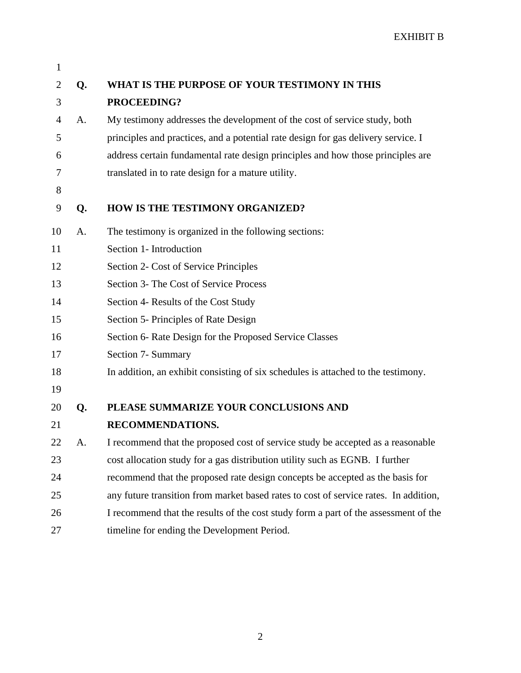| $\mathbf{1}$   |    |                                                                                      |
|----------------|----|--------------------------------------------------------------------------------------|
| $\overline{2}$ | Q. | WHAT IS THE PURPOSE OF YOUR TESTIMONY IN THIS                                        |
| 3              |    | PROCEEDING?                                                                          |
| 4              | A. | My testimony addresses the development of the cost of service study, both            |
| 5              |    | principles and practices, and a potential rate design for gas delivery service. I    |
| 6              |    | address certain fundamental rate design principles and how those principles are      |
| 7              |    | translated in to rate design for a mature utility.                                   |
| 8              |    |                                                                                      |
| 9              | Q. | HOW IS THE TESTIMONY ORGANIZED?                                                      |
| 10             | A. | The testimony is organized in the following sections:                                |
| 11             |    | Section 1- Introduction                                                              |
| 12             |    | Section 2- Cost of Service Principles                                                |
| 13             |    | Section 3- The Cost of Service Process                                               |
| 14             |    | Section 4- Results of the Cost Study                                                 |
| 15             |    | Section 5- Principles of Rate Design                                                 |
| 16             |    | Section 6- Rate Design for the Proposed Service Classes                              |
| 17             |    | Section 7- Summary                                                                   |
| 18             |    | In addition, an exhibit consisting of six schedules is attached to the testimony.    |
| 19             |    |                                                                                      |
| 20             | Q. | PLEASE SUMMARIZE YOUR CONCLUSIONS AND                                                |
| 21             |    | <b>RECOMMENDATIONS.</b>                                                              |
| 22             | A. | I recommend that the proposed cost of service study be accepted as a reasonable      |
| 23             |    | cost allocation study for a gas distribution utility such as EGNB. I further         |
| 24             |    | recommend that the proposed rate design concepts be accepted as the basis for        |
| 25             |    | any future transition from market based rates to cost of service rates. In addition, |
| 26             |    | I recommend that the results of the cost study form a part of the assessment of the  |
| 27             |    | timeline for ending the Development Period.                                          |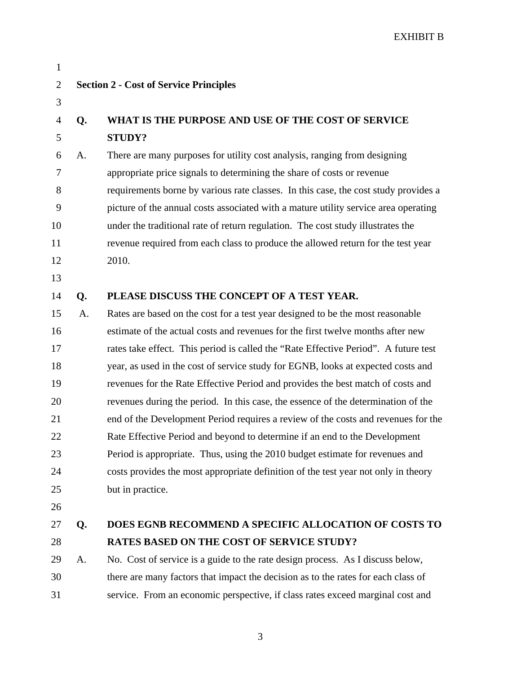| $\mathbf{1}$   |    |                                                                                     |
|----------------|----|-------------------------------------------------------------------------------------|
| $\overline{2}$ |    | <b>Section 2 - Cost of Service Principles</b>                                       |
| 3              |    |                                                                                     |
| $\overline{4}$ | Q. | WHAT IS THE PURPOSE AND USE OF THE COST OF SERVICE                                  |
| 5              |    | <b>STUDY?</b>                                                                       |
| 6              | A. | There are many purposes for utility cost analysis, ranging from designing           |
| 7              |    | appropriate price signals to determining the share of costs or revenue              |
| 8              |    | requirements borne by various rate classes. In this case, the cost study provides a |
| 9              |    | picture of the annual costs associated with a mature utility service area operating |
| 10             |    | under the traditional rate of return regulation. The cost study illustrates the     |
| 11             |    | revenue required from each class to produce the allowed return for the test year    |
| 12             |    | 2010.                                                                               |
| 13             |    |                                                                                     |
| 14             | Q. | PLEASE DISCUSS THE CONCEPT OF A TEST YEAR.                                          |
| 15             | A. | Rates are based on the cost for a test year designed to be the most reasonable      |
| 16             |    | estimate of the actual costs and revenues for the first twelve months after new     |
| 17             |    | rates take effect. This period is called the "Rate Effective Period". A future test |
| 18             |    | year, as used in the cost of service study for EGNB, looks at expected costs and    |
| 19             |    | revenues for the Rate Effective Period and provides the best match of costs and     |
| 20             |    | revenues during the period. In this case, the essence of the determination of the   |
| 21             |    | end of the Development Period requires a review of the costs and revenues for the   |
| 22             |    | Rate Effective Period and beyond to determine if an end to the Development          |
| 23             |    | Period is appropriate. Thus, using the 2010 budget estimate for revenues and        |
| 24             |    | costs provides the most appropriate definition of the test year not only in theory  |
| 25             |    | but in practice.                                                                    |
| 26             |    |                                                                                     |
| 27             | Q. | DOES EGNB RECOMMEND A SPECIFIC ALLOCATION OF COSTS TO                               |
| 28             |    | <b>RATES BASED ON THE COST OF SERVICE STUDY?</b>                                    |
| 29             | A. | No. Cost of service is a guide to the rate design process. As I discuss below,      |
| 30             |    | there are many factors that impact the decision as to the rates for each class of   |
| 31             |    | service. From an economic perspective, if class rates exceed marginal cost and      |
|                |    |                                                                                     |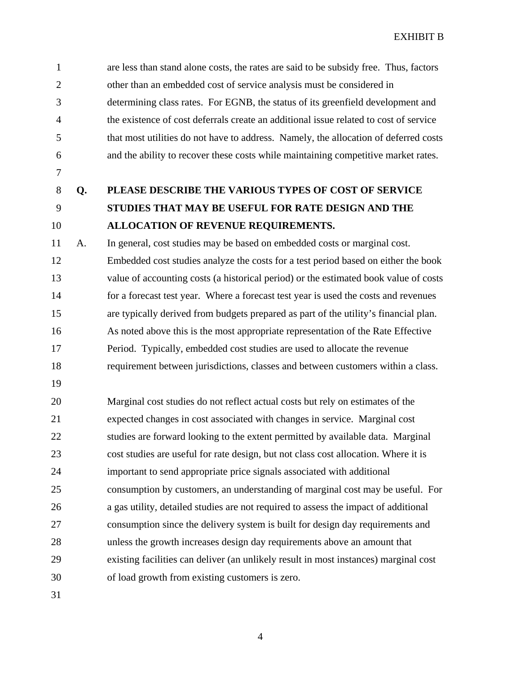1 are less than stand alone costs, the rates are said to be subsidy free. Thus, factors 2 other than an embedded cost of service analysis must be considered in 3 determining class rates. For EGNB, the status of its greenfield development and 4 the existence of cost deferrals create an additional issue related to cost of service 5 that most utilities do not have to address. Namely, the allocation of deferred costs 6 and the ability to recover these costs while maintaining competitive market rates.

- 7
- 

## 8 **Q. PLEASE DESCRIBE THE VARIOUS TYPES OF COST OF SERVICE**  9 **STUDIES THAT MAY BE USEFUL FOR RATE DESIGN AND THE**  10 **ALLOCATION OF REVENUE REQUIREMENTS.**

11 A. In general, cost studies may be based on embedded costs or marginal cost. 12 Embedded cost studies analyze the costs for a test period based on either the book 13 value of accounting costs (a historical period) or the estimated book value of costs 14 for a forecast test year. Where a forecast test year is used the costs and revenues 15 are typically derived from budgets prepared as part of the utility's financial plan. 16 As noted above this is the most appropriate representation of the Rate Effective 17 Period. Typically, embedded cost studies are used to allocate the revenue 18 requirement between jurisdictions, classes and between customers within a class.

19

20 Marginal cost studies do not reflect actual costs but rely on estimates of the 21 expected changes in cost associated with changes in service. Marginal cost 22 studies are forward looking to the extent permitted by available data. Marginal 23 cost studies are useful for rate design, but not class cost allocation. Where it is 24 important to send appropriate price signals associated with additional 25 consumption by customers, an understanding of marginal cost may be useful. For 26 a gas utility, detailed studies are not required to assess the impact of additional 27 consumption since the delivery system is built for design day requirements and 28 unless the growth increases design day requirements above an amount that 29 existing facilities can deliver (an unlikely result in most instances) marginal cost 30 of load growth from existing customers is zero.

31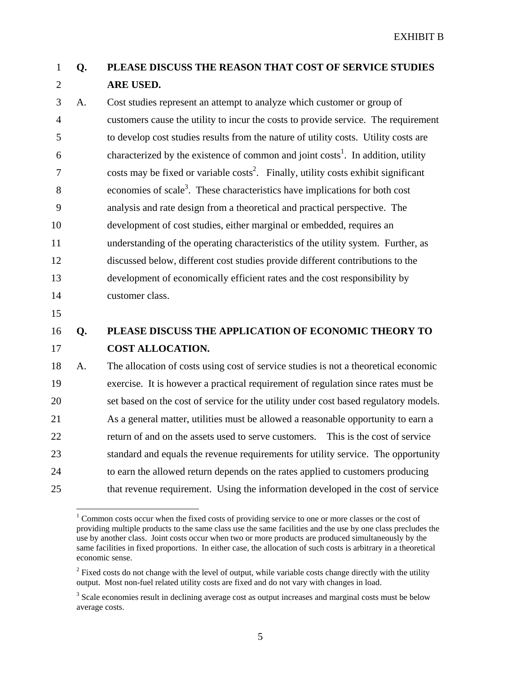## 1 **Q. PLEASE DISCUSS THE REASON THAT COST OF SERVICE STUDIES**  2 **ARE USED.**

3 A. Cost studies represent an attempt to analyze which customer or group of 4 customers cause the utility to incur the costs to provide service. The requirement 5 to develop cost studies results from the nature of utility costs. Utility costs are 6 characterized by the existence of common and joint costs<sup>1</sup>. In addition, utility  $7 \text{ costs may be fixed or variable costs}^2$ . Finally, utility costs exhibit significant 8 .  $\epsilon$  economies of scale<sup>3</sup>. These characteristics have implications for both cost 9 analysis and rate design from a theoretical and practical perspective. The 10 development of cost studies, either marginal or embedded, requires an 11 understanding of the operating characteristics of the utility system. Further, as 12 discussed below, different cost studies provide different contributions to the 13 development of economically efficient rates and the cost responsibility by 14 customer class.

15

 $\overline{a}$ 

#### 16 **Q. PLEASE DISCUSS THE APPLICATION OF ECONOMIC THEORY TO**  17 **COST ALLOCATION.**

18 A. The allocation of costs using cost of service studies is not a theoretical economic 19 exercise. It is however a practical requirement of regulation since rates must be 20 set based on the cost of service for the utility under cost based regulatory models. 21 As a general matter, utilities must be allowed a reasonable opportunity to earn a 22 return of and on the assets used to serve customers. This is the cost of service 23 standard and equals the revenue requirements for utility service. The opportunity 24 to earn the allowed return depends on the rates applied to customers producing 25 that revenue requirement. Using the information developed in the cost of service

<sup>&</sup>lt;sup>1</sup> Common costs occur when the fixed costs of providing service to one or more classes or the cost of providing multiple products to the same class use the same facilities and the use by one class precludes the use by another class. Joint costs occur when two or more products are produced simultaneously by the same facilities in fixed proportions. In either case, the allocation of such costs is arbitrary in a theoretical economic sense.

 $2<sup>2</sup>$  Fixed costs do not change with the level of output, while variable costs change directly with the utility output. Most non-fuel related utility costs are fixed and do not vary with changes in load.

<sup>&</sup>lt;sup>3</sup> Scale economies result in declining average cost as output increases and marginal costs must be below average costs.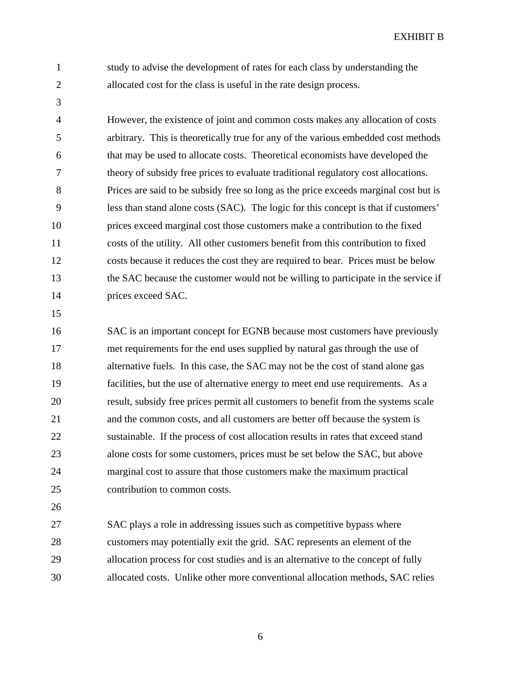3

1 study to advise the development of rates for each class by understanding the 2 allocated cost for the class is useful in the rate design process.

4 However, the existence of joint and common costs makes any allocation of costs 5 arbitrary. This is theoretically true for any of the various embedded cost methods 6 that may be used to allocate costs. Theoretical economists have developed the 7 theory of subsidy free prices to evaluate traditional regulatory cost allocations. 8 Prices are said to be subsidy free so long as the price exceeds marginal cost but is 9 less than stand alone costs (SAC). The logic for this concept is that if customers' 10 prices exceed marginal cost those customers make a contribution to the fixed 11 costs of the utility. All other customers benefit from this contribution to fixed 12 costs because it reduces the cost they are required to bear. Prices must be below 13 the SAC because the customer would not be willing to participate in the service if 14 prices exceed SAC.

15

16 SAC is an important concept for EGNB because most customers have previously 17 met requirements for the end uses supplied by natural gas through the use of 18 alternative fuels. In this case, the SAC may not be the cost of stand alone gas 19 facilities, but the use of alternative energy to meet end use requirements. As a 20 result, subsidy free prices permit all customers to benefit from the systems scale 21 and the common costs, and all customers are better off because the system is 22 sustainable. If the process of cost allocation results in rates that exceed stand 23 alone costs for some customers, prices must be set below the SAC, but above 24 marginal cost to assure that those customers make the maximum practical 25 contribution to common costs.

26

27 SAC plays a role in addressing issues such as competitive bypass where 28 customers may potentially exit the grid. SAC represents an element of the 29 allocation process for cost studies and is an alternative to the concept of fully 30 allocated costs. Unlike other more conventional allocation methods, SAC relies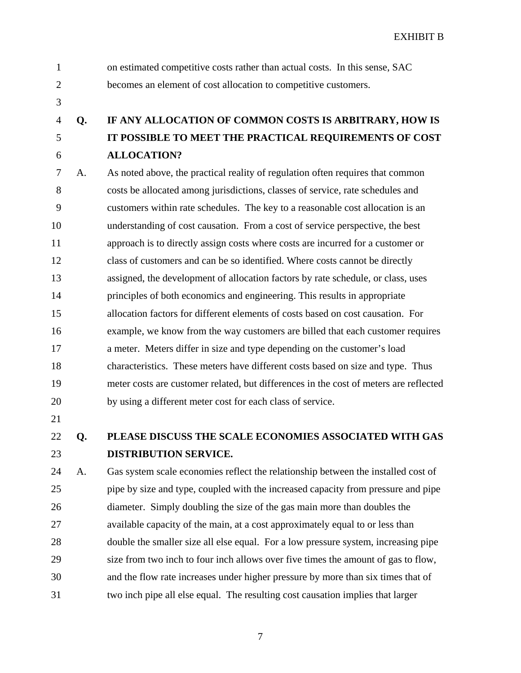- 1 on estimated competitive costs rather than actual costs. In this sense, SAC 2 becomes an element of cost allocation to competitive customers.
- 3

## 4 **Q. IF ANY ALLOCATION OF COMMON COSTS IS ARBITRARY, HOW IS**  5 **IT POSSIBLE TO MEET THE PRACTICAL REQUIREMENTS OF COST**  6 **ALLOCATION?**

7 A. As noted above, the practical reality of regulation often requires that common 8 costs be allocated among jurisdictions, classes of service, rate schedules and 9 customers within rate schedules. The key to a reasonable cost allocation is an 10 understanding of cost causation. From a cost of service perspective, the best 11 approach is to directly assign costs where costs are incurred for a customer or 12 class of customers and can be so identified. Where costs cannot be directly 13 assigned, the development of allocation factors by rate schedule, or class, uses 14 principles of both economics and engineering. This results in appropriate 15 allocation factors for different elements of costs based on cost causation. For 16 example, we know from the way customers are billed that each customer requires 17 a meter. Meters differ in size and type depending on the customer's load 18 characteristics. These meters have different costs based on size and type. Thus 19 meter costs are customer related, but differences in the cost of meters are reflected 20 by using a different meter cost for each class of service.

21

22 **Q. PLEASE DISCUSS THE SCALE ECONOMIES ASSOCIATED WITH GAS**  23 **DISTRIBUTION SERVICE.** 

24 A. Gas system scale economies reflect the relationship between the installed cost of 25 pipe by size and type, coupled with the increased capacity from pressure and pipe 26 diameter. Simply doubling the size of the gas main more than doubles the 27 available capacity of the main, at a cost approximately equal to or less than 28 double the smaller size all else equal. For a low pressure system, increasing pipe 29 size from two inch to four inch allows over five times the amount of gas to flow, 30 and the flow rate increases under higher pressure by more than six times that of 31 two inch pipe all else equal. The resulting cost causation implies that larger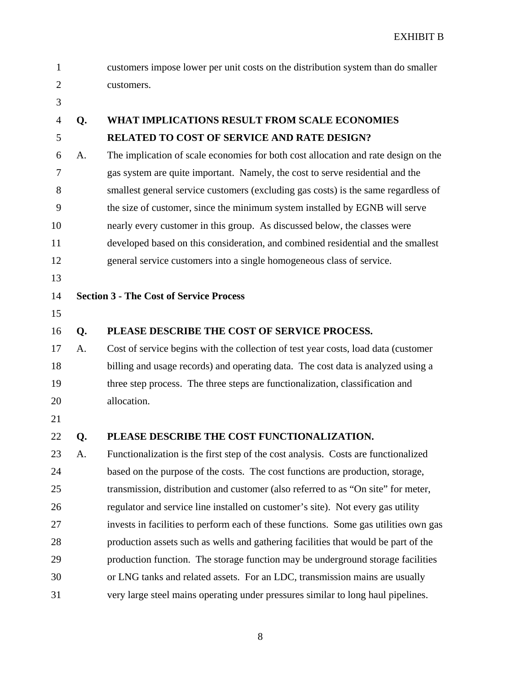| 1              |    | customers impose lower per unit costs on the distribution system than do smaller     |
|----------------|----|--------------------------------------------------------------------------------------|
| $\overline{2}$ |    | customers.                                                                           |
| 3              |    |                                                                                      |
| $\overline{4}$ | Q. | <b>WHAT IMPLICATIONS RESULT FROM SCALE ECONOMIES</b>                                 |
| 5              |    | <b>RELATED TO COST OF SERVICE AND RATE DESIGN?</b>                                   |
| 6              | A. | The implication of scale economies for both cost allocation and rate design on the   |
| 7              |    | gas system are quite important. Namely, the cost to serve residential and the        |
| 8              |    | smallest general service customers (excluding gas costs) is the same regardless of   |
| 9              |    | the size of customer, since the minimum system installed by EGNB will serve          |
| 10             |    | nearly every customer in this group. As discussed below, the classes were            |
| 11             |    | developed based on this consideration, and combined residential and the smallest     |
| 12             |    | general service customers into a single homogeneous class of service.                |
| 13             |    |                                                                                      |
| 14             |    | <b>Section 3 - The Cost of Service Process</b>                                       |
| 15             |    |                                                                                      |
| 16             | Q. | PLEASE DESCRIBE THE COST OF SERVICE PROCESS.                                         |
| 17             | A. | Cost of service begins with the collection of test year costs, load data (customer   |
| 18             |    | billing and usage records) and operating data. The cost data is analyzed using a     |
| 19             |    | three step process. The three steps are functionalization, classification and        |
| 20             |    | allocation.                                                                          |
| 21             |    |                                                                                      |
| 22             | O. | PLEASE DESCRIBE THE COST FUNCTIONALIZATION.                                          |
| 23             | A. | Functionalization is the first step of the cost analysis. Costs are functionalized   |
| 24             |    | based on the purpose of the costs. The cost functions are production, storage,       |
| 25             |    | transmission, distribution and customer (also referred to as "On site" for meter,    |
| 26             |    | regulator and service line installed on customer's site). Not every gas utility      |
| 27             |    | invests in facilities to perform each of these functions. Some gas utilities own gas |
| 28             |    | production assets such as wells and gathering facilities that would be part of the   |
| 29             |    | production function. The storage function may be underground storage facilities      |
| 30             |    | or LNG tanks and related assets. For an LDC, transmission mains are usually          |
| 31             |    | very large steel mains operating under pressures similar to long haul pipelines.     |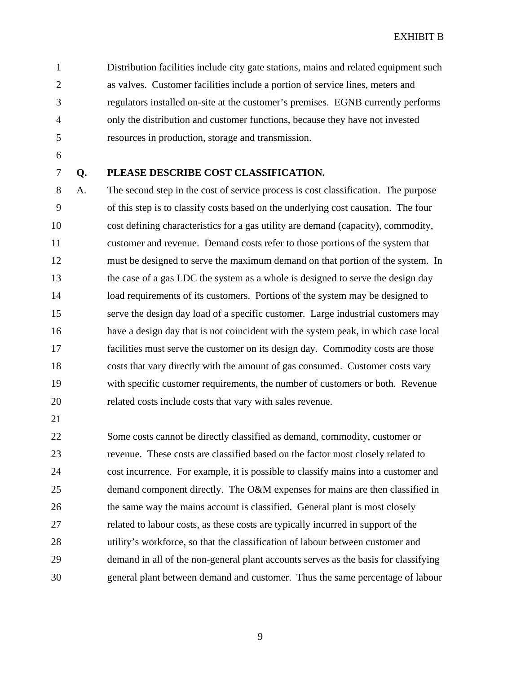1 Distribution facilities include city gate stations, mains and related equipment such 2 as valves. Customer facilities include a portion of service lines, meters and 3 regulators installed on-site at the customer's premises. EGNB currently performs 4 only the distribution and customer functions, because they have not invested 5 resources in production, storage and transmission.

- 6
- 

#### 7 **Q. PLEASE DESCRIBE COST CLASSIFICATION.**

8 A. The second step in the cost of service process is cost classification. The purpose 9 of this step is to classify costs based on the underlying cost causation. The four 10 cost defining characteristics for a gas utility are demand (capacity), commodity, 11 customer and revenue. Demand costs refer to those portions of the system that 12 must be designed to serve the maximum demand on that portion of the system. In 13 the case of a gas LDC the system as a whole is designed to serve the design day 14 load requirements of its customers. Portions of the system may be designed to 15 serve the design day load of a specific customer. Large industrial customers may 16 have a design day that is not coincident with the system peak, in which case local 17 facilities must serve the customer on its design day. Commodity costs are those 18 costs that vary directly with the amount of gas consumed. Customer costs vary 19 with specific customer requirements, the number of customers or both. Revenue 20 related costs include costs that vary with sales revenue.

21

22 Some costs cannot be directly classified as demand, commodity, customer or 23 revenue. These costs are classified based on the factor most closely related to 24 cost incurrence. For example, it is possible to classify mains into a customer and 25 demand component directly. The O&M expenses for mains are then classified in 26 the same way the mains account is classified. General plant is most closely 27 related to labour costs, as these costs are typically incurred in support of the 28 utility's workforce, so that the classification of labour between customer and 29 demand in all of the non-general plant accounts serves as the basis for classifying 30 general plant between demand and customer. Thus the same percentage of labour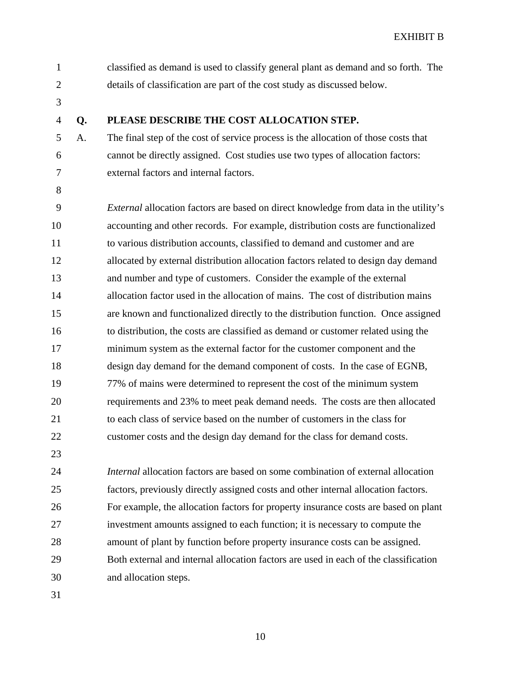| $\mathbf{1}$   |    | classified as demand is used to classify general plant as demand and so forth. The          |
|----------------|----|---------------------------------------------------------------------------------------------|
| $\overline{2}$ |    | details of classification are part of the cost study as discussed below.                    |
| 3              |    |                                                                                             |
| $\overline{4}$ | Q. | PLEASE DESCRIBE THE COST ALLOCATION STEP.                                                   |
| 5              | A. | The final step of the cost of service process is the allocation of those costs that         |
| 6              |    | cannot be directly assigned. Cost studies use two types of allocation factors:              |
| 7              |    | external factors and internal factors.                                                      |
| 8              |    |                                                                                             |
| 9              |    | <i>External</i> allocation factors are based on direct knowledge from data in the utility's |
| 10             |    | accounting and other records. For example, distribution costs are functionalized            |
| 11             |    | to various distribution accounts, classified to demand and customer and are                 |
| 12             |    | allocated by external distribution allocation factors related to design day demand          |
| 13             |    | and number and type of customers. Consider the example of the external                      |
| 14             |    | allocation factor used in the allocation of mains. The cost of distribution mains           |
| 15             |    | are known and functionalized directly to the distribution function. Once assigned           |
| 16             |    | to distribution, the costs are classified as demand or customer related using the           |
| 17             |    | minimum system as the external factor for the customer component and the                    |
| 18             |    | design day demand for the demand component of costs. In the case of EGNB,                   |
| 19             |    | 77% of mains were determined to represent the cost of the minimum system                    |
| 20             |    | requirements and 23% to meet peak demand needs. The costs are then allocated                |
| 21             |    | to each class of service based on the number of customers in the class for                  |
| 22             |    | customer costs and the design day demand for the class for demand costs.                    |
| 23             |    |                                                                                             |
| 24             |    | <i>Internal</i> allocation factors are based on some combination of external allocation     |
| 25             |    | factors, previously directly assigned costs and other internal allocation factors.          |
| 26             |    | For example, the allocation factors for property insurance costs are based on plant         |
| 27             |    | investment amounts assigned to each function; it is necessary to compute the                |
| 28             |    | amount of plant by function before property insurance costs can be assigned.                |
| 29             |    | Both external and internal allocation factors are used in each of the classification        |
| 30             |    | and allocation steps.                                                                       |
| 31             |    |                                                                                             |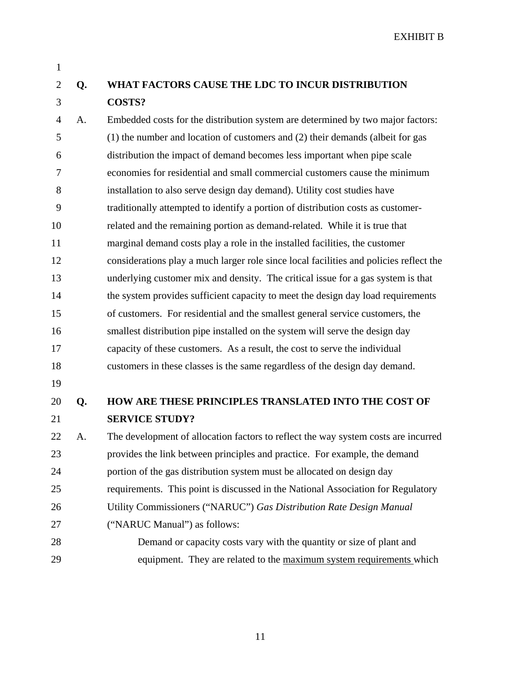1

## 2 **Q. WHAT FACTORS CAUSE THE LDC TO INCUR DISTRIBUTION**  3 **COSTS?**

4 A. Embedded costs for the distribution system are determined by two major factors: 5 (1) the number and location of customers and (2) their demands (albeit for gas 6 distribution the impact of demand becomes less important when pipe scale 7 economies for residential and small commercial customers cause the minimum 8 installation to also serve design day demand). Utility cost studies have 9 traditionally attempted to identify a portion of distribution costs as customer-10 related and the remaining portion as demand-related. While it is true that 11 marginal demand costs play a role in the installed facilities, the customer 12 considerations play a much larger role since local facilities and policies reflect the 13 underlying customer mix and density. The critical issue for a gas system is that 14 the system provides sufficient capacity to meet the design day load requirements 15 of customers. For residential and the smallest general service customers, the 16 smallest distribution pipe installed on the system will serve the design day 17 capacity of these customers. As a result, the cost to serve the individual 18 customers in these classes is the same regardless of the design day demand.

19

## 20 **Q. HOW ARE THESE PRINCIPLES TRANSLATED INTO THE COST OF**  21 **SERVICE STUDY?**

22 A. The development of allocation factors to reflect the way system costs are incurred 23 provides the link between principles and practice. For example, the demand 24 portion of the gas distribution system must be allocated on design day 25 requirements. This point is discussed in the National Association for Regulatory 26 Utility Commissioners ("NARUC") *Gas Distribution Rate Design Manual* 27 ("NARUC Manual") as follows: 28 Demand or capacity costs vary with the quantity or size of plant and

29 equipment. They are related to the maximum system requirements which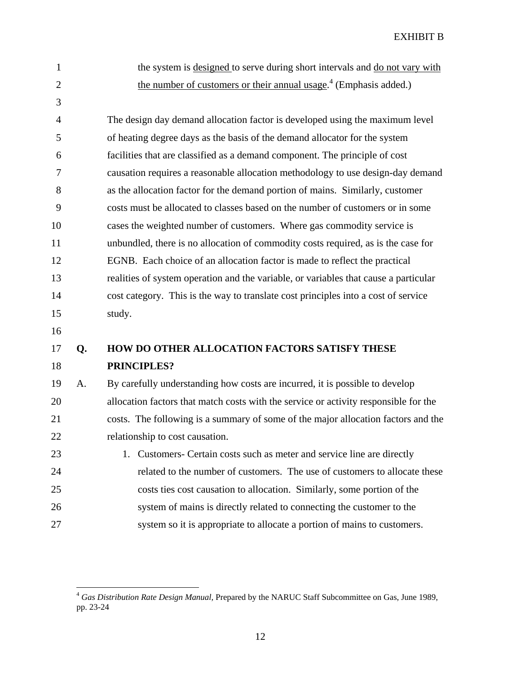1 the system is designed to serve during short intervals and do not vary with 2 the number of customers or their annual usage.<sup>4</sup> (Emphasis added.) 3 4 The design day demand allocation factor is developed using the maximum level 5 of heating degree days as the basis of the demand allocator for the system 6 facilities that are classified as a demand component. The principle of cost 7 causation requires a reasonable allocation methodology to use design-day demand 8 as the allocation factor for the demand portion of mains. Similarly, customer 9 costs must be allocated to classes based on the number of customers or in some 10 cases the weighted number of customers. Where gas commodity service is 11 unbundled, there is no allocation of commodity costs required, as is the case for 12 EGNB. Each choice of an allocation factor is made to reflect the practical 13 realities of system operation and the variable, or variables that cause a particular 14 cost category. This is the way to translate cost principles into a cost of service 15 study. 16 17 **Q. HOW DO OTHER ALLOCATION FACTORS SATISFY THESE**  18 **PRINCIPLES?**  19 A. By carefully understanding how costs are incurred, it is possible to develop 20 allocation factors that match costs with the service or activity responsible for the 21 costs. The following is a summary of some of the major allocation factors and the 22 relationship to cost causation.

23 1. Customers- Certain costs such as meter and service line are directly 24 related to the number of customers. The use of customers to allocate these 25 costs ties cost causation to allocation. Similarly, some portion of the 26 system of mains is directly related to connecting the customer to the 27 system so it is appropriate to allocate a portion of mains to customers.

 $\overline{a}$ 

<sup>4</sup> *Gas Distribution Rate Design Manual,* Prepared by the NARUC Staff Subcommittee on Gas, June 1989, pp. 23-24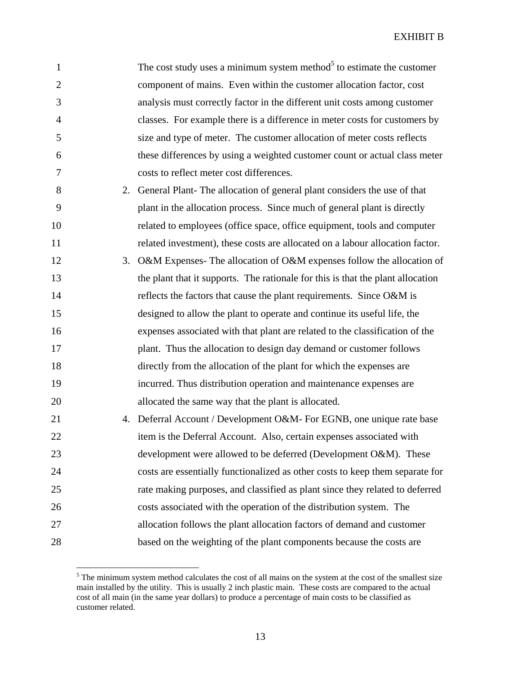| 1              | The cost study uses a minimum system method <sup>5</sup> to estimate the customer |
|----------------|-----------------------------------------------------------------------------------|
| $\overline{2}$ | component of mains. Even within the customer allocation factor, cost              |
| 3              | analysis must correctly factor in the different unit costs among customer         |
| $\overline{4}$ | classes. For example there is a difference in meter costs for customers by        |
| 5              | size and type of meter. The customer allocation of meter costs reflects           |
| 6              | these differences by using a weighted customer count or actual class meter        |
| $\overline{7}$ | costs to reflect meter cost differences.                                          |
| 8              | 2. General Plant-The allocation of general plant considers the use of that        |
| 9              | plant in the allocation process. Since much of general plant is directly          |
| 10             | related to employees (office space, office equipment, tools and computer          |
| 11             | related investment), these costs are allocated on a labour allocation factor.     |
| 12             | 3. O&M Expenses- The allocation of O&M expenses follow the allocation of          |
| 13             | the plant that it supports. The rationale for this is that the plant allocation   |
| 14             | reflects the factors that cause the plant requirements. Since O&M is              |
| 15             | designed to allow the plant to operate and continue its useful life, the          |
| 16             | expenses associated with that plant are related to the classification of the      |
| 17             | plant. Thus the allocation to design day demand or customer follows               |
| 18             | directly from the allocation of the plant for which the expenses are              |
| 19             | incurred. Thus distribution operation and maintenance expenses are                |
| 20             | allocated the same way that the plant is allocated.                               |
| 21             | 4. Deferral Account / Development O&M- For EGNB, one unique rate base             |
| 22             | item is the Deferral Account. Also, certain expenses associated with              |
| 23             | development were allowed to be deferred (Development O&M). These                  |
| 24             | costs are essentially functionalized as other costs to keep them separate for     |
| 25             | rate making purposes, and classified as plant since they related to deferred      |
| 26             | costs associated with the operation of the distribution system. The               |
| 27             | allocation follows the plant allocation factors of demand and customer            |
| 28             | based on the weighting of the plant components because the costs are              |
|                |                                                                                   |

<sup>&</sup>lt;sup>5</sup> The minimum system method calculates the cost of all mains on the system at the cost of the smallest size main installed by the utility. This is usually 2 inch plastic main. These costs are compared to the actual cost of all main (in the same year dollars) to produce a percentage of main costs to be classified as customer related.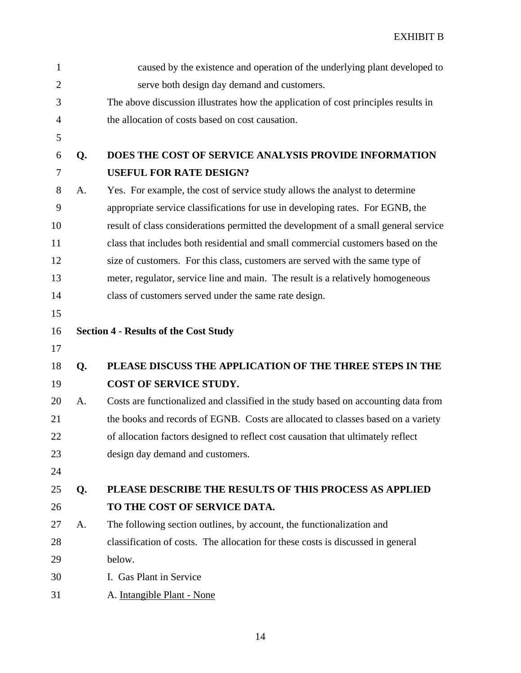| $\mathbf{1}$   |    | caused by the existence and operation of the underlying plant developed to          |
|----------------|----|-------------------------------------------------------------------------------------|
| $\overline{2}$ |    | serve both design day demand and customers.                                         |
| 3              |    | The above discussion illustrates how the application of cost principles results in  |
| $\overline{4}$ |    | the allocation of costs based on cost causation.                                    |
| 5              |    |                                                                                     |
| 6              | Q. | DOES THE COST OF SERVICE ANALYSIS PROVIDE INFORMATION                               |
| 7              |    | <b>USEFUL FOR RATE DESIGN?</b>                                                      |
| 8              | A. | Yes. For example, the cost of service study allows the analyst to determine         |
| 9              |    | appropriate service classifications for use in developing rates. For EGNB, the      |
| 10             |    | result of class considerations permitted the development of a small general service |
| 11             |    | class that includes both residential and small commercial customers based on the    |
| 12             |    | size of customers. For this class, customers are served with the same type of       |
| 13             |    | meter, regulator, service line and main. The result is a relatively homogeneous     |
| 14             |    | class of customers served under the same rate design.                               |
| 15             |    |                                                                                     |
| 16             |    | <b>Section 4 - Results of the Cost Study</b>                                        |
| 17             |    |                                                                                     |
| 18             | Q. | PLEASE DISCUSS THE APPLICATION OF THE THREE STEPS IN THE                            |
| 19             |    | COST OF SERVICE STUDY.                                                              |
| 20             | A. | Costs are functionalized and classified in the study based on accounting data from  |
| 21             |    | the books and records of EGNB. Costs are allocated to classes based on a variety    |
| 22             |    | of allocation factors designed to reflect cost causation that ultimately reflect    |
| 23             |    | design day demand and customers.                                                    |
| 24             |    |                                                                                     |
| 25             | Q. | PLEASE DESCRIBE THE RESULTS OF THIS PROCESS AS APPLIED                              |
| 26             |    | TO THE COST OF SERVICE DATA.                                                        |
| 27             | A. | The following section outlines, by account, the functionalization and               |
| 28             |    | classification of costs. The allocation for these costs is discussed in general     |
| 29             |    | below.                                                                              |
| 30             |    | I. Gas Plant in Service                                                             |
| 31             |    | A. Intangible Plant - None                                                          |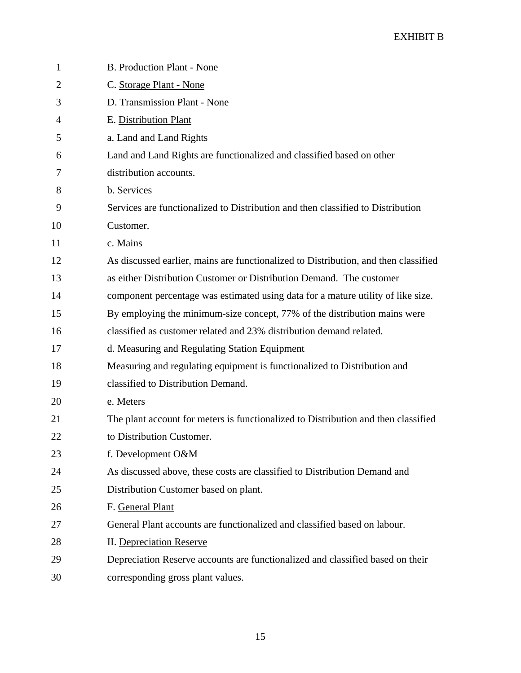| 1              | B. Production Plant - None                                                          |
|----------------|-------------------------------------------------------------------------------------|
| $\overline{2}$ | C. Storage Plant - None                                                             |
| 3              | D. Transmission Plant - None                                                        |
| 4              | E. Distribution Plant                                                               |
| 5              | a. Land and Land Rights                                                             |
| 6              | Land and Land Rights are functionalized and classified based on other               |
| 7              | distribution accounts.                                                              |
| 8              | b. Services                                                                         |
| 9              | Services are functionalized to Distribution and then classified to Distribution     |
| 10             | Customer.                                                                           |
| 11             | c. Mains                                                                            |
| 12             | As discussed earlier, mains are functionalized to Distribution, and then classified |
| 13             | as either Distribution Customer or Distribution Demand. The customer                |
| 14             | component percentage was estimated using data for a mature utility of like size.    |
| 15             | By employing the minimum-size concept, 77% of the distribution mains were           |
| 16             | classified as customer related and 23% distribution demand related.                 |
| 17             | d. Measuring and Regulating Station Equipment                                       |
| 18             | Measuring and regulating equipment is functionalized to Distribution and            |
| 19             | classified to Distribution Demand.                                                  |
| 20             | e. Meters                                                                           |
| 21             | The plant account for meters is functionalized to Distribution and then classified  |
| 22             | to Distribution Customer.                                                           |
| 23             | f. Development O&M                                                                  |
| 24             | As discussed above, these costs are classified to Distribution Demand and           |
| 25             | Distribution Customer based on plant.                                               |
| 26             | F. General Plant                                                                    |
| 27             | General Plant accounts are functionalized and classified based on labour.           |
| 28             | <b>II.</b> Depreciation Reserve                                                     |
| 29             | Depreciation Reserve accounts are functionalized and classified based on their      |
| 30             | corresponding gross plant values.                                                   |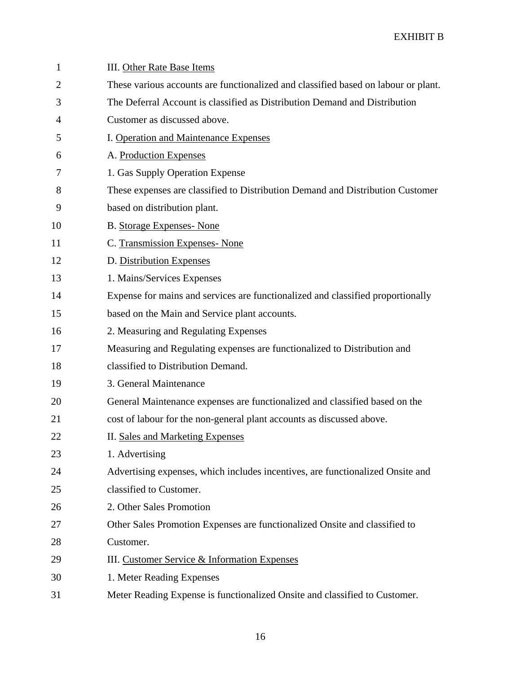| 1              | <b>III.</b> Other Rate Base Items                                                  |
|----------------|------------------------------------------------------------------------------------|
| $\overline{2}$ | These various accounts are functionalized and classified based on labour or plant. |
| 3              | The Deferral Account is classified as Distribution Demand and Distribution         |
| 4              | Customer as discussed above.                                                       |
| 5              | I. Operation and Maintenance Expenses                                              |
| 6              | A. Production Expenses                                                             |
| 7              | 1. Gas Supply Operation Expense                                                    |
| 8              | These expenses are classified to Distribution Demand and Distribution Customer     |
| 9              | based on distribution plant.                                                       |
| 10             | <b>B.</b> Storage Expenses- None                                                   |
| 11             | C. Transmission Expenses- None                                                     |
| 12             | D. Distribution Expenses                                                           |
| 13             | 1. Mains/Services Expenses                                                         |
| 14             | Expense for mains and services are functionalized and classified proportionally    |
| 15             | based on the Main and Service plant accounts.                                      |
| 16             | 2. Measuring and Regulating Expenses                                               |
| 17             | Measuring and Regulating expenses are functionalized to Distribution and           |
| 18             | classified to Distribution Demand.                                                 |
| 19             | 3. General Maintenance                                                             |
| 20             | General Maintenance expenses are functionalized and classified based on the        |
| 21             | cost of labour for the non-general plant accounts as discussed above.              |
| 22             | <b>II. Sales and Marketing Expenses</b>                                            |
| 23             | 1. Advertising                                                                     |
| 24             | Advertising expenses, which includes incentives, are functionalized Onsite and     |
| 25             | classified to Customer.                                                            |
| 26             | 2. Other Sales Promotion                                                           |
| 27             | Other Sales Promotion Expenses are functionalized Onsite and classified to         |
| 28             | Customer.                                                                          |
| 29             | III. Customer Service & Information Expenses                                       |
| 30             | 1. Meter Reading Expenses                                                          |
| 31             | Meter Reading Expense is functionalized Onsite and classified to Customer.         |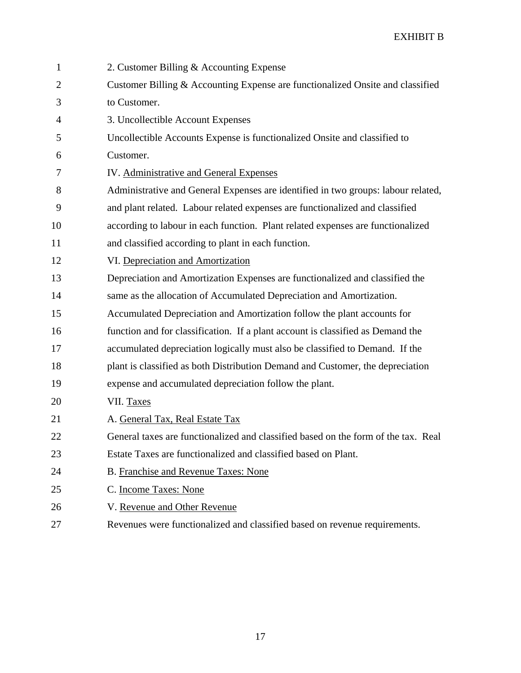| $\mathbf{1}$   | 2. Customer Billing & Accounting Expense                                           |
|----------------|------------------------------------------------------------------------------------|
| $\overline{2}$ | Customer Billing & Accounting Expense are functionalized Onsite and classified     |
| 3              | to Customer.                                                                       |
| 4              | 3. Uncollectible Account Expenses                                                  |
| 5              | Uncollectible Accounts Expense is functionalized Onsite and classified to          |
| 6              | Customer.                                                                          |
| 7              | IV. Administrative and General Expenses                                            |
| 8              | Administrative and General Expenses are identified in two groups: labour related,  |
| 9              | and plant related. Labour related expenses are functionalized and classified       |
| 10             | according to labour in each function. Plant related expenses are functionalized    |
| 11             | and classified according to plant in each function.                                |
| 12             | VI. Depreciation and Amortization                                                  |
| 13             | Depreciation and Amortization Expenses are functionalized and classified the       |
| 14             | same as the allocation of Accumulated Depreciation and Amortization.               |
| 15             | Accumulated Depreciation and Amortization follow the plant accounts for            |
| 16             | function and for classification. If a plant account is classified as Demand the    |
| 17             | accumulated depreciation logically must also be classified to Demand. If the       |
| 18             | plant is classified as both Distribution Demand and Customer, the depreciation     |
| 19             | expense and accumulated depreciation follow the plant.                             |
| 20             | VII. Taxes                                                                         |
| 21             | A. General Tax, Real Estate Tax                                                    |
| 22             | General taxes are functionalized and classified based on the form of the tax. Real |
| 23             | Estate Taxes are functionalized and classified based on Plant.                     |
| 24             | B. Franchise and Revenue Taxes: None                                               |
| 25             | C. Income Taxes: None                                                              |
| 26             | V. Revenue and Other Revenue                                                       |
| 27             | Revenues were functionalized and classified based on revenue requirements.         |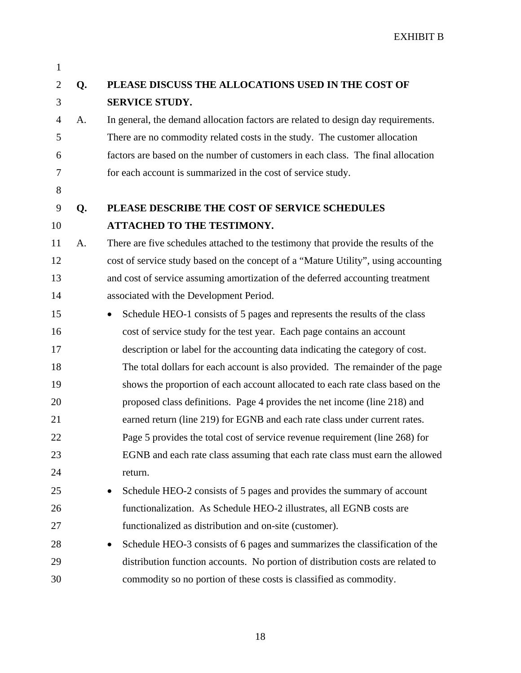| $\mathbf{1}$   |    |                                                                                         |
|----------------|----|-----------------------------------------------------------------------------------------|
| $\overline{c}$ | Q. | PLEASE DISCUSS THE ALLOCATIONS USED IN THE COST OF                                      |
| 3              |    | <b>SERVICE STUDY.</b>                                                                   |
| 4              | A. | In general, the demand allocation factors are related to design day requirements.       |
| 5              |    | There are no commodity related costs in the study. The customer allocation              |
| 6              |    | factors are based on the number of customers in each class. The final allocation        |
| 7              |    | for each account is summarized in the cost of service study.                            |
| 8              |    |                                                                                         |
| 9              | Q. | PLEASE DESCRIBE THE COST OF SERVICE SCHEDULES                                           |
| 10             |    | ATTACHED TO THE TESTIMONY.                                                              |
| 11             | A. | There are five schedules attached to the testimony that provide the results of the      |
| 12             |    | cost of service study based on the concept of a "Mature Utility", using accounting      |
| 13             |    | and cost of service assuming amortization of the deferred accounting treatment          |
| 14             |    | associated with the Development Period.                                                 |
| 15             |    | Schedule HEO-1 consists of 5 pages and represents the results of the class<br>$\bullet$ |
| 16             |    | cost of service study for the test year. Each page contains an account                  |
| 17             |    | description or label for the accounting data indicating the category of cost.           |
| 18             |    | The total dollars for each account is also provided. The remainder of the page          |
| 19             |    | shows the proportion of each account allocated to each rate class based on the          |
| 20             |    | proposed class definitions. Page 4 provides the net income (line 218) and               |
| 21             |    | earned return (line 219) for EGNB and each rate class under current rates.              |
| 22             |    | Page 5 provides the total cost of service revenue requirement (line 268) for            |
| 23             |    | EGNB and each rate class assuming that each rate class must earn the allowed            |
| 24             |    | return.                                                                                 |
| 25             |    | Schedule HEO-2 consists of 5 pages and provides the summary of account                  |
| 26             |    | functionalization. As Schedule HEO-2 illustrates, all EGNB costs are                    |
| 27             |    | functionalized as distribution and on-site (customer).                                  |
| 28             |    | Schedule HEO-3 consists of 6 pages and summarizes the classification of the             |
| 29             |    | distribution function accounts. No portion of distribution costs are related to         |
| 30             |    | commodity so no portion of these costs is classified as commodity.                      |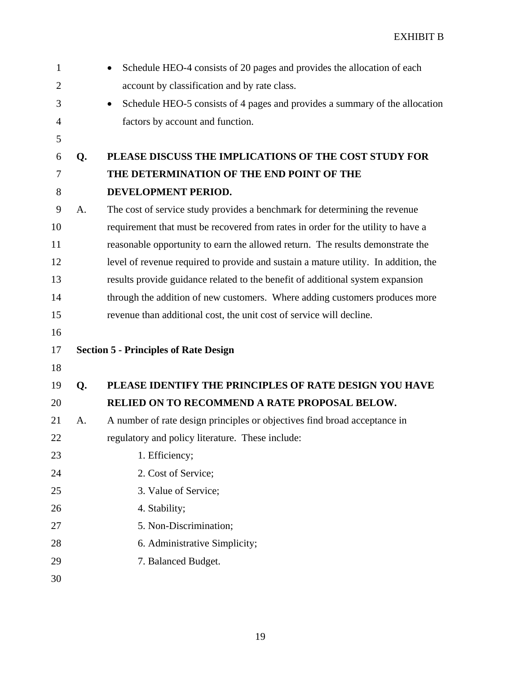| $\mathbf{1}$   |    | Schedule HEO-4 consists of 20 pages and provides the allocation of each                  |
|----------------|----|------------------------------------------------------------------------------------------|
| $\overline{2}$ |    | account by classification and by rate class.                                             |
| 3              |    | Schedule HEO-5 consists of 4 pages and provides a summary of the allocation<br>$\bullet$ |
| $\overline{4}$ |    | factors by account and function.                                                         |
| 5              |    |                                                                                          |
| 6              | Q. | PLEASE DISCUSS THE IMPLICATIONS OF THE COST STUDY FOR                                    |
| 7              |    | THE DETERMINATION OF THE END POINT OF THE                                                |
| 8              |    | DEVELOPMENT PERIOD.                                                                      |
| 9              | A. | The cost of service study provides a benchmark for determining the revenue               |
| 10             |    | requirement that must be recovered from rates in order for the utility to have a         |
| 11             |    | reasonable opportunity to earn the allowed return. The results demonstrate the           |
| 12             |    | level of revenue required to provide and sustain a mature utility. In addition, the      |
| 13             |    | results provide guidance related to the benefit of additional system expansion           |
| 14             |    | through the addition of new customers. Where adding customers produces more              |
| 15             |    | revenue than additional cost, the unit cost of service will decline.                     |
| 16             |    |                                                                                          |
| 17             |    | <b>Section 5 - Principles of Rate Design</b>                                             |
| 18             |    |                                                                                          |
| 19             | Q. | PLEASE IDENTIFY THE PRINCIPLES OF RATE DESIGN YOU HAVE                                   |
| 20             |    | RELIED ON TO RECOMMEND A RATE PROPOSAL BELOW.                                            |
| 21             | A. | A number of rate design principles or objectives find broad acceptance in                |
| 22             |    | regulatory and policy literature. These include:                                         |
| 23             |    | 1. Efficiency;                                                                           |
| 24             |    | 2. Cost of Service;                                                                      |
| 25             |    | 3. Value of Service;                                                                     |
| 26             |    | 4. Stability;                                                                            |
| 27             |    | 5. Non-Discrimination;                                                                   |
| 28             |    | 6. Administrative Simplicity;                                                            |
| 29             |    | 7. Balanced Budget.                                                                      |
| 30             |    |                                                                                          |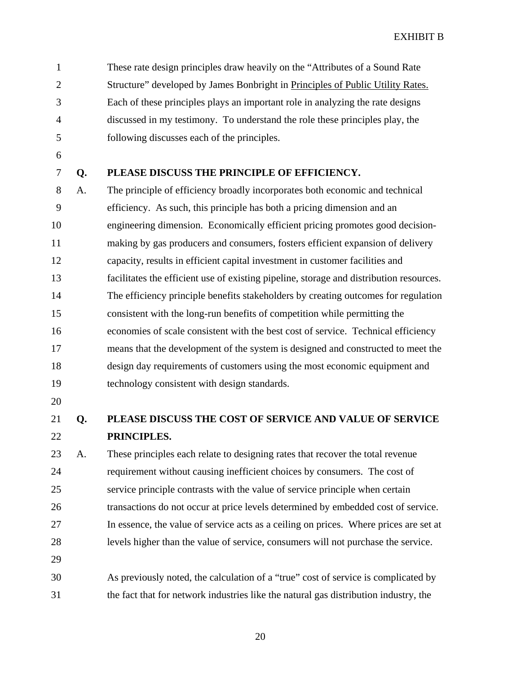1 These rate design principles draw heavily on the "Attributes of a Sound Rate 2 Structure" developed by James Bonbright in Principles of Public Utility Rates. 3 Each of these principles plays an important role in analyzing the rate designs 4 discussed in my testimony. To understand the role these principles play, the 5 following discusses each of the principles.

- 6
- 

#### 7 **Q. PLEASE DISCUSS THE PRINCIPLE OF EFFICIENCY.**

8 A. The principle of efficiency broadly incorporates both economic and technical 9 efficiency. As such, this principle has both a pricing dimension and an 10 engineering dimension. Economically efficient pricing promotes good decision-11 making by gas producers and consumers, fosters efficient expansion of delivery 12 capacity, results in efficient capital investment in customer facilities and 13 facilitates the efficient use of existing pipeline, storage and distribution resources. 14 The efficiency principle benefits stakeholders by creating outcomes for regulation 15 consistent with the long-run benefits of competition while permitting the 16 economies of scale consistent with the best cost of service. Technical efficiency 17 means that the development of the system is designed and constructed to meet the 18 design day requirements of customers using the most economic equipment and 19 technology consistent with design standards.

20

## 21 **Q. PLEASE DISCUSS THE COST OF SERVICE AND VALUE OF SERVICE**  22 **PRINCIPLES.**

23 A. These principles each relate to designing rates that recover the total revenue 24 requirement without causing inefficient choices by consumers. The cost of 25 service principle contrasts with the value of service principle when certain 26 transactions do not occur at price levels determined by embedded cost of service. 27 In essence, the value of service acts as a ceiling on prices. Where prices are set at 28 levels higher than the value of service, consumers will not purchase the service. 29

30 As previously noted, the calculation of a "true" cost of service is complicated by 31 the fact that for network industries like the natural gas distribution industry, the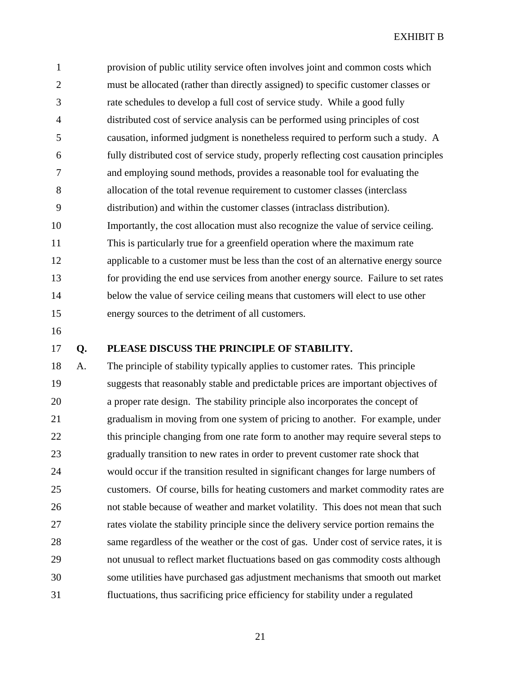1 provision of public utility service often involves joint and common costs which 2 must be allocated (rather than directly assigned) to specific customer classes or 3 rate schedules to develop a full cost of service study. While a good fully 4 distributed cost of service analysis can be performed using principles of cost 5 causation, informed judgment is nonetheless required to perform such a study. A 6 fully distributed cost of service study, properly reflecting cost causation principles 7 and employing sound methods, provides a reasonable tool for evaluating the 8 allocation of the total revenue requirement to customer classes (interclass 9 distribution) and within the customer classes (intraclass distribution). 10 Importantly, the cost allocation must also recognize the value of service ceiling. 11 This is particularly true for a greenfield operation where the maximum rate 12 applicable to a customer must be less than the cost of an alternative energy source 13 for providing the end use services from another energy source. Failure to set rates 14 below the value of service ceiling means that customers will elect to use other 15 energy sources to the detriment of all customers.

16

#### 17 **Q. PLEASE DISCUSS THE PRINCIPLE OF STABILITY.**

18 A. The principle of stability typically applies to customer rates. This principle 19 suggests that reasonably stable and predictable prices are important objectives of 20 a proper rate design. The stability principle also incorporates the concept of 21 gradualism in moving from one system of pricing to another. For example, under 22 this principle changing from one rate form to another may require several steps to 23 gradually transition to new rates in order to prevent customer rate shock that 24 would occur if the transition resulted in significant changes for large numbers of 25 customers. Of course, bills for heating customers and market commodity rates are 26 not stable because of weather and market volatility. This does not mean that such 27 rates violate the stability principle since the delivery service portion remains the 28 same regardless of the weather or the cost of gas. Under cost of service rates, it is 29 not unusual to reflect market fluctuations based on gas commodity costs although 30 some utilities have purchased gas adjustment mechanisms that smooth out market 31 fluctuations, thus sacrificing price efficiency for stability under a regulated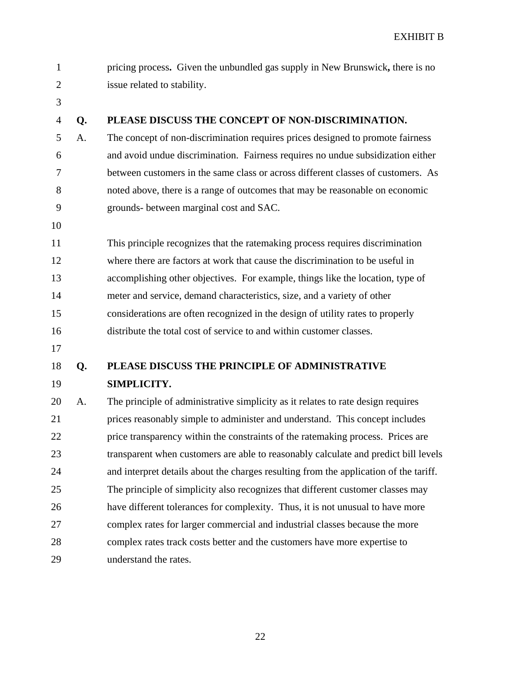| $\mathbf{1}$   |    | pricing process. Given the unbundled gas supply in New Brunswick, there is no         |
|----------------|----|---------------------------------------------------------------------------------------|
| $\overline{2}$ |    | issue related to stability.                                                           |
| 3              |    |                                                                                       |
| $\overline{4}$ | Q. | PLEASE DISCUSS THE CONCEPT OF NON-DISCRIMINATION.                                     |
| 5              | A. | The concept of non-discrimination requires prices designed to promote fairness        |
| 6              |    | and avoid undue discrimination. Fairness requires no undue subsidization either       |
| 7              |    | between customers in the same class or across different classes of customers. As      |
| 8              |    | noted above, there is a range of outcomes that may be reasonable on economic          |
| 9              |    | grounds- between marginal cost and SAC.                                               |
| 10             |    |                                                                                       |
| 11             |    | This principle recognizes that the ratemaking process requires discrimination         |
| 12             |    | where there are factors at work that cause the discrimination to be useful in         |
| 13             |    | accomplishing other objectives. For example, things like the location, type of        |
| 14             |    | meter and service, demand characteristics, size, and a variety of other               |
| 15             |    | considerations are often recognized in the design of utility rates to properly        |
| 16             |    | distribute the total cost of service to and within customer classes.                  |
| 17             |    |                                                                                       |
| 18             | Q. | PLEASE DISCUSS THE PRINCIPLE OF ADMINISTRATIVE                                        |
| 19             |    | SIMPLICITY.                                                                           |
| 20             | A. | The principle of administrative simplicity as it relates to rate design requires      |
| 21             |    | prices reasonably simple to administer and understand. This concept includes          |
| 22             |    | price transparency within the constraints of the ratemaking process. Prices are       |
| 23             |    | transparent when customers are able to reasonably calculate and predict bill levels   |
| 24             |    | and interpret details about the charges resulting from the application of the tariff. |
| 25             |    | The principle of simplicity also recognizes that different customer classes may       |
| 26             |    | have different tolerances for complexity. Thus, it is not unusual to have more        |
| 27             |    | complex rates for larger commercial and industrial classes because the more           |
| 28             |    | complex rates track costs better and the customers have more expertise to             |
| 29             |    | understand the rates.                                                                 |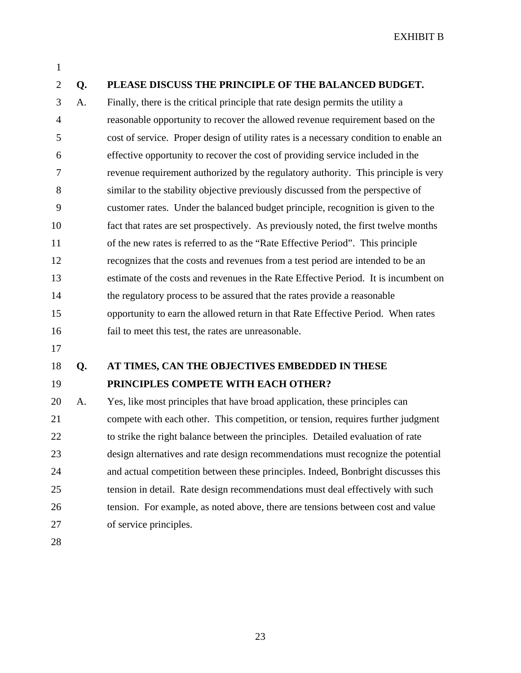#### 1

#### 2 **Q. PLEASE DISCUSS THE PRINCIPLE OF THE BALANCED BUDGET.**

3 A. Finally, there is the critical principle that rate design permits the utility a 4 reasonable opportunity to recover the allowed revenue requirement based on the 5 cost of service. Proper design of utility rates is a necessary condition to enable an 6 effective opportunity to recover the cost of providing service included in the 7 revenue requirement authorized by the regulatory authority. This principle is very 8 similar to the stability objective previously discussed from the perspective of 9 customer rates. Under the balanced budget principle, recognition is given to the 10 fact that rates are set prospectively. As previously noted, the first twelve months 11 of the new rates is referred to as the "Rate Effective Period". This principle 12 recognizes that the costs and revenues from a test period are intended to be an 13 estimate of the costs and revenues in the Rate Effective Period. It is incumbent on 14 the regulatory process to be assured that the rates provide a reasonable 15 opportunity to earn the allowed return in that Rate Effective Period. When rates 16 fail to meet this test, the rates are unreasonable.

17

# 18 **Q. AT TIMES, CAN THE OBJECTIVES EMBEDDED IN THESE**

#### 19 **PRINCIPLES COMPETE WITH EACH OTHER?**

20 A. Yes, like most principles that have broad application, these principles can 21 compete with each other. This competition, or tension, requires further judgment 22 to strike the right balance between the principles. Detailed evaluation of rate 23 design alternatives and rate design recommendations must recognize the potential 24 and actual competition between these principles. Indeed, Bonbright discusses this 25 tension in detail. Rate design recommendations must deal effectively with such 26 tension. For example, as noted above, there are tensions between cost and value 27 of service principles.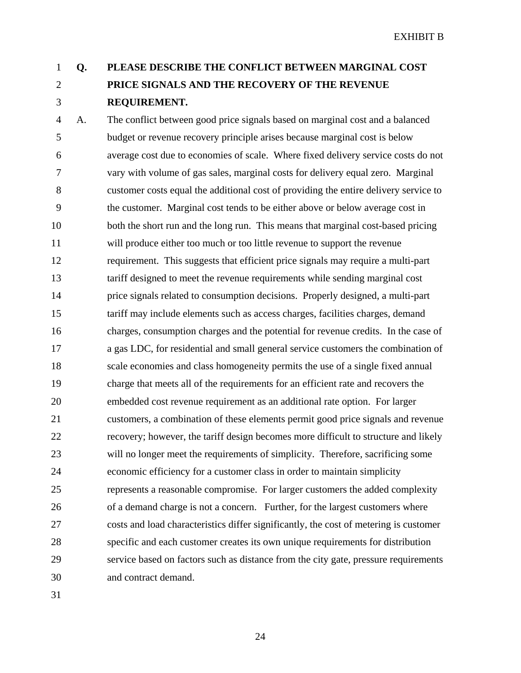## 1 **Q. PLEASE DESCRIBE THE CONFLICT BETWEEN MARGINAL COST**  2 **PRICE SIGNALS AND THE RECOVERY OF THE REVENUE**  3 **REQUIREMENT.**

4 A. The conflict between good price signals based on marginal cost and a balanced 5 budget or revenue recovery principle arises because marginal cost is below 6 average cost due to economies of scale. Where fixed delivery service costs do not 7 vary with volume of gas sales, marginal costs for delivery equal zero. Marginal 8 customer costs equal the additional cost of providing the entire delivery service to 9 the customer. Marginal cost tends to be either above or below average cost in 10 both the short run and the long run. This means that marginal cost-based pricing 11 will produce either too much or too little revenue to support the revenue 12 requirement. This suggests that efficient price signals may require a multi-part 13 tariff designed to meet the revenue requirements while sending marginal cost 14 price signals related to consumption decisions. Properly designed, a multi-part 15 tariff may include elements such as access charges, facilities charges, demand 16 charges, consumption charges and the potential for revenue credits. In the case of 17 a gas LDC, for residential and small general service customers the combination of 18 scale economies and class homogeneity permits the use of a single fixed annual 19 charge that meets all of the requirements for an efficient rate and recovers the 20 embedded cost revenue requirement as an additional rate option. For larger 21 customers, a combination of these elements permit good price signals and revenue 22 recovery; however, the tariff design becomes more difficult to structure and likely 23 will no longer meet the requirements of simplicity. Therefore, sacrificing some 24 economic efficiency for a customer class in order to maintain simplicity 25 represents a reasonable compromise. For larger customers the added complexity 26 of a demand charge is not a concern. Further, for the largest customers where 27 costs and load characteristics differ significantly, the cost of metering is customer 28 specific and each customer creates its own unique requirements for distribution 29 service based on factors such as distance from the city gate, pressure requirements 30 and contract demand.

31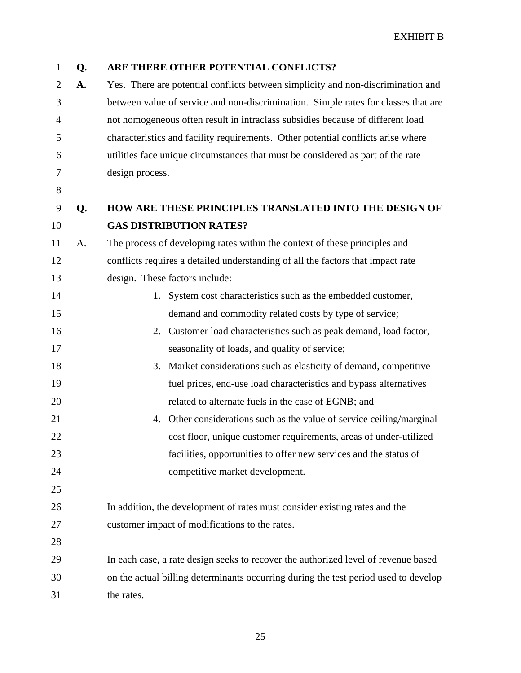| $\mathbf{1}$   | Q. | ARE THERE OTHER POTENTIAL CONFLICTS?                                                |
|----------------|----|-------------------------------------------------------------------------------------|
| $\overline{2}$ | A. | Yes. There are potential conflicts between simplicity and non-discrimination and    |
| 3              |    | between value of service and non-discrimination. Simple rates for classes that are  |
| 4              |    | not homogeneous often result in intraclass subsidies because of different load      |
| 5              |    | characteristics and facility requirements. Other potential conflicts arise where    |
| 6              |    | utilities face unique circumstances that must be considered as part of the rate     |
| 7              |    | design process.                                                                     |
| 8              |    |                                                                                     |
| 9              | Q. | <b>HOW ARE THESE PRINCIPLES TRANSLATED INTO THE DESIGN OF</b>                       |
| 10             |    | <b>GAS DISTRIBUTION RATES?</b>                                                      |
| 11             | A. | The process of developing rates within the context of these principles and          |
| 12             |    | conflicts requires a detailed understanding of all the factors that impact rate     |
| 13             |    | design. These factors include:                                                      |
| 14             |    | 1. System cost characteristics such as the embedded customer,                       |
| 15             |    | demand and commodity related costs by type of service;                              |
| 16             |    | 2. Customer load characteristics such as peak demand, load factor,                  |
| 17             |    | seasonality of loads, and quality of service;                                       |
| 18             |    | Market considerations such as elasticity of demand, competitive<br>3.               |
| 19             |    | fuel prices, end-use load characteristics and bypass alternatives                   |
| 20             |    | related to alternate fuels in the case of EGNB; and                                 |
| 21             |    | Other considerations such as the value of service ceiling/marginal<br>4.            |
| 22             |    | cost floor, unique customer requirements, areas of under-utilized                   |
| 23             |    | facilities, opportunities to offer new services and the status of                   |
| 24             |    | competitive market development.                                                     |
| 25             |    |                                                                                     |
| 26             |    | In addition, the development of rates must consider existing rates and the          |
| 27             |    | customer impact of modifications to the rates.                                      |
| 28             |    |                                                                                     |
| 29             |    | In each case, a rate design seeks to recover the authorized level of revenue based  |
| 30             |    | on the actual billing determinants occurring during the test period used to develop |
| 31             |    | the rates.                                                                          |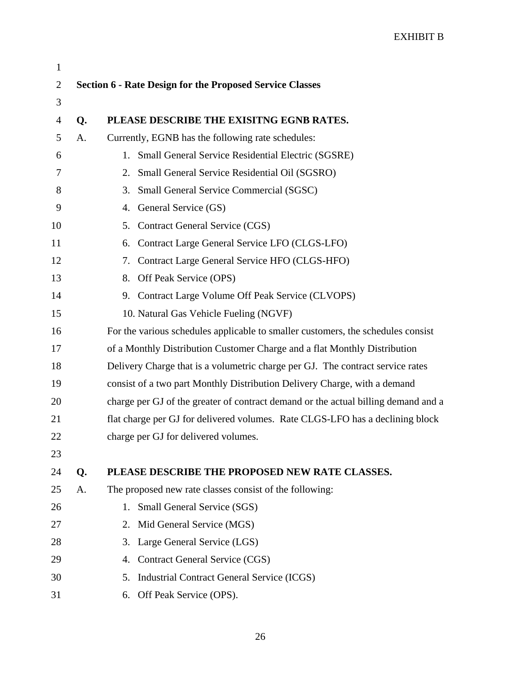| $\mathbf{1}$   |                                                                 |                                                                                    |  |
|----------------|-----------------------------------------------------------------|------------------------------------------------------------------------------------|--|
| $\overline{2}$ | <b>Section 6 - Rate Design for the Proposed Service Classes</b> |                                                                                    |  |
| 3              |                                                                 |                                                                                    |  |
| $\overline{4}$ | Q.                                                              | PLEASE DESCRIBE THE EXISITNG EGNB RATES.                                           |  |
| 5              | A.                                                              | Currently, EGNB has the following rate schedules:                                  |  |
| 6              |                                                                 | Small General Service Residential Electric (SGSRE)<br>1.                           |  |
| 7              |                                                                 | Small General Service Residential Oil (SGSRO)<br>2.                                |  |
| 8              |                                                                 | Small General Service Commercial (SGSC)<br>3.                                      |  |
| 9              |                                                                 | General Service (GS)<br>4.                                                         |  |
| 10             |                                                                 | <b>Contract General Service (CGS)</b><br>5.                                        |  |
| 11             |                                                                 | Contract Large General Service LFO (CLGS-LFO)<br>6.                                |  |
| 12             |                                                                 | Contract Large General Service HFO (CLGS-HFO)<br>7.                                |  |
| 13             |                                                                 | Off Peak Service (OPS)<br>8.                                                       |  |
| 14             |                                                                 | 9. Contract Large Volume Off Peak Service (CLVOPS)                                 |  |
| 15             |                                                                 | 10. Natural Gas Vehicle Fueling (NGVF)                                             |  |
| 16             |                                                                 | For the various schedules applicable to smaller customers, the schedules consist   |  |
| 17             |                                                                 | of a Monthly Distribution Customer Charge and a flat Monthly Distribution          |  |
| 18             |                                                                 | Delivery Charge that is a volumetric charge per GJ. The contract service rates     |  |
| 19             |                                                                 | consist of a two part Monthly Distribution Delivery Charge, with a demand          |  |
| 20             |                                                                 | charge per GJ of the greater of contract demand or the actual billing demand and a |  |
| 21             |                                                                 | flat charge per GJ for delivered volumes. Rate CLGS-LFO has a declining block      |  |
| 22             |                                                                 | charge per GJ for delivered volumes.                                               |  |
| 23             |                                                                 |                                                                                    |  |
| 24             | Q.                                                              | PLEASE DESCRIBE THE PROPOSED NEW RATE CLASSES.                                     |  |
| 25             | A.                                                              | The proposed new rate classes consist of the following:                            |  |
| 26             |                                                                 | Small General Service (SGS)<br>1.                                                  |  |
| 27             |                                                                 | Mid General Service (MGS)<br>2.                                                    |  |
| 28             |                                                                 | Large General Service (LGS)<br>3.                                                  |  |
| 29             |                                                                 | Contract General Service (CGS)<br>4.                                               |  |
| 30             |                                                                 | 5.<br>Industrial Contract General Service (ICGS)                                   |  |
| 31             |                                                                 | Off Peak Service (OPS).<br>6.                                                      |  |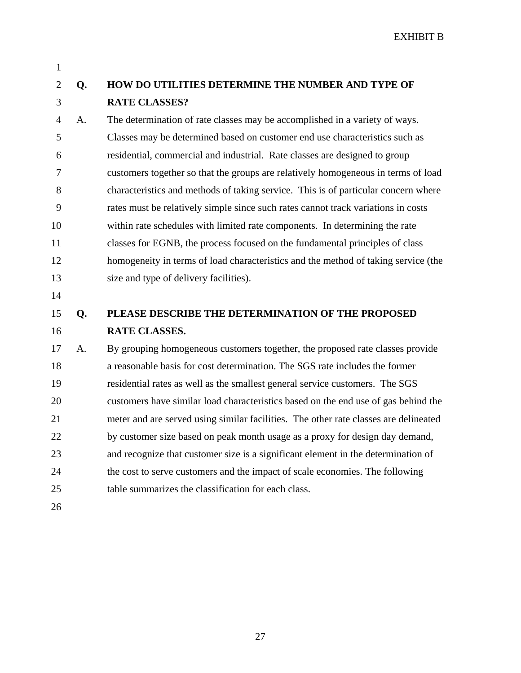1

## 2 **Q. HOW DO UTILITIES DETERMINE THE NUMBER AND TYPE OF**  3 **RATE CLASSES?**

4 A. The determination of rate classes may be accomplished in a variety of ways. 5 Classes may be determined based on customer end use characteristics such as 6 residential, commercial and industrial. Rate classes are designed to group 7 customers together so that the groups are relatively homogeneous in terms of load 8 characteristics and methods of taking service. This is of particular concern where 9 rates must be relatively simple since such rates cannot track variations in costs 10 within rate schedules with limited rate components. In determining the rate 11 classes for EGNB, the process focused on the fundamental principles of class 12 homogeneity in terms of load characteristics and the method of taking service (the 13 size and type of delivery facilities).

14

## 15 **Q. PLEASE DESCRIBE THE DETERMINATION OF THE PROPOSED**  16 **RATE CLASSES.**

17 A. By grouping homogeneous customers together, the proposed rate classes provide 18 a reasonable basis for cost determination. The SGS rate includes the former 19 residential rates as well as the smallest general service customers. The SGS 20 customers have similar load characteristics based on the end use of gas behind the 21 meter and are served using similar facilities. The other rate classes are delineated 22 by customer size based on peak month usage as a proxy for design day demand, 23 and recognize that customer size is a significant element in the determination of 24 the cost to serve customers and the impact of scale economies. The following 25 table summarizes the classification for each class.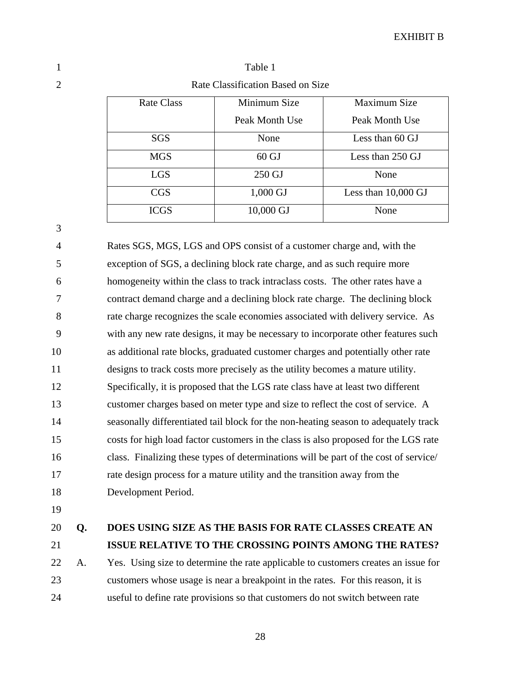| ×<br>۰,<br>I     |  |
|------------------|--|
| I<br>i<br>I<br>٦ |  |

3

1 Table 1 Rate Classification Based on Size

| <b>Rate Class</b> | Minimum Size    | Maximum Size          |
|-------------------|-----------------|-----------------------|
|                   | Peak Month Use  | Peak Month Use        |
| <b>SGS</b>        | None            | Less than 60 GJ       |
| <b>MGS</b>        | $60 \text{ GJ}$ | Less than 250 GJ      |
| <b>LGS</b>        | 250 GJ          | None                  |
| CGS               | 1,000 GJ        | Less than $10,000$ GJ |
| <b>ICGS</b>       | 10,000 GJ       | None                  |

4 Rates SGS, MGS, LGS and OPS consist of a customer charge and, with the 5 exception of SGS, a declining block rate charge, and as such require more 6 homogeneity within the class to track intraclass costs. The other rates have a 7 contract demand charge and a declining block rate charge. The declining block 8 rate charge recognizes the scale economies associated with delivery service. As 9 with any new rate designs, it may be necessary to incorporate other features such 10 as additional rate blocks, graduated customer charges and potentially other rate 11 designs to track costs more precisely as the utility becomes a mature utility. 12 Specifically, it is proposed that the LGS rate class have at least two different 13 customer charges based on meter type and size to reflect the cost of service. A 14 seasonally differentiated tail block for the non-heating season to adequately track 15 costs for high load factor customers in the class is also proposed for the LGS rate 16 class. Finalizing these types of determinations will be part of the cost of service/ 17 rate design process for a mature utility and the transition away from the 18 Development Period.

19

#### 20 **Q. DOES USING SIZE AS THE BASIS FOR RATE CLASSES CREATE AN**  21 **ISSUE RELATIVE TO THE CROSSING POINTS AMONG THE RATES?**

22 A. Yes. Using size to determine the rate applicable to customers creates an issue for 23 customers whose usage is near a breakpoint in the rates. For this reason, it is 24 useful to define rate provisions so that customers do not switch between rate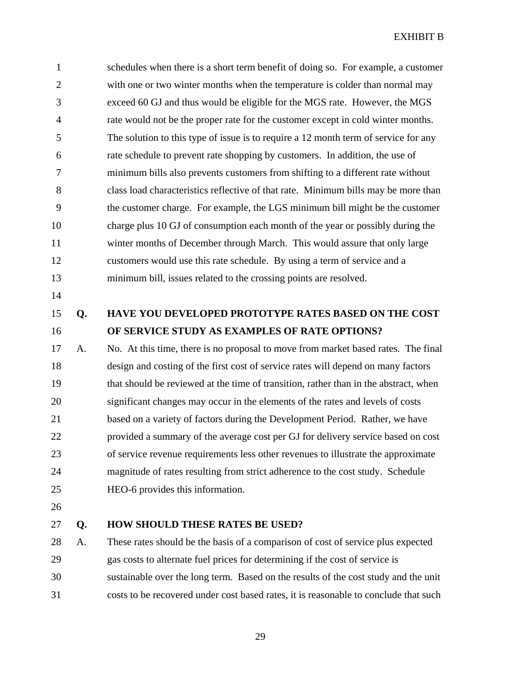1 schedules when there is a short term benefit of doing so. For example, a customer 2 with one or two winter months when the temperature is colder than normal may 3 exceed 60 GJ and thus would be eligible for the MGS rate. However, the MGS 4 rate would not be the proper rate for the customer except in cold winter months. 5 The solution to this type of issue is to require a 12 month term of service for any 6 rate schedule to prevent rate shopping by customers. In addition, the use of 7 minimum bills also prevents customers from shifting to a different rate without 8 class load characteristics reflective of that rate. Minimum bills may be more than 9 the customer charge. For example, the LGS minimum bill might be the customer 10 charge plus 10 GJ of consumption each month of the year or possibly during the 11 winter months of December through March. This would assure that only large 12 customers would use this rate schedule. By using a term of service and a 13 minimum bill, issues related to the crossing points are resolved.

- 14
- 

## 15 **Q. HAVE YOU DEVELOPED PROTOTYPE RATES BASED ON THE COST**  16 **OF SERVICE STUDY AS EXAMPLES OF RATE OPTIONS?**

17 A. No. At this time, there is no proposal to move from market based rates. The final 18 design and costing of the first cost of service rates will depend on many factors 19 that should be reviewed at the time of transition, rather than in the abstract, when 20 significant changes may occur in the elements of the rates and levels of costs 21 based on a variety of factors during the Development Period. Rather, we have 22 provided a summary of the average cost per GJ for delivery service based on cost 23 of service revenue requirements less other revenues to illustrate the approximate 24 magnitude of rates resulting from strict adherence to the cost study. Schedule 25 HEO-6 provides this information.

26

#### 27 **Q. HOW SHOULD THESE RATES BE USED?**

28 A. These rates should be the basis of a comparison of cost of service plus expected 29 gas costs to alternate fuel prices for determining if the cost of service is 30 sustainable over the long term. Based on the results of the cost study and the unit 31 costs to be recovered under cost based rates, it is reasonable to conclude that such